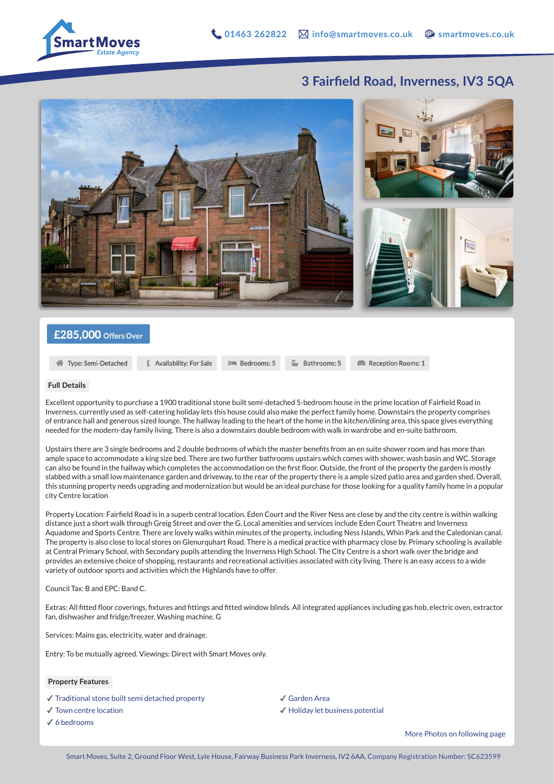

## **3 Fairfield Road, Inverness, IV3 5QA**



### £285,000 Offers Over

骨 Type: Semi-Detached

Availability: For Sale **Im** Bedrooms: 5

 $\mathbb{B}$  Bathrooms: 5

Reception Rooms: 1

#### **Full Details**

Excellent opportunity to purchase a 1900 traditional stone built semi-detached 5-bedroom house in the prime location of Fairfield Road in Inverness, currently used as self-catering holiday lets this house could also make the perfect family home. Downstairs the property comprises of entrance hall and generous sized lounge. The hallway leading to the heart of the home in the kitchen/dining area, this space gives everything needed for the modern-day family living. There is also a downstairs double bedroom with walk in wardrobe and en-suite bathroom.

Upstairs there are 3 single bedrooms and 2 double bedrooms of which the master benefits from an en suite shower room and has more than ample space to accommodate a king size bed. There are two further bathrooms upstairs which comes with shower, wash basin and WC. Storage can also be found in the hallway which completes the accommodation on the first floor. Outside, the front of the property the garden is mostly slabbed with a small low maintenance garden and driveway, to the rear of the property there is a ample sized patio area and garden shed. Overall, this stunning property needs upgrading and modernization but would be an ideal purchase for those looking for a quality family home in a popular city Centre location

Property Location: Fairfield Road is in a superb central location. Eden Court and the River Ness are close by and the city centre is within walking distance just a short walk through Greig Street and over the G. Local amenities and services include Eden Court Theatre and Inverness Aquadome and Sports Centre. There are lovely walks within minutes of the property, including Ness Islands, Whin Park and the Caledonian canal. The property is also close to local stores on Glenurquhart Road. There is a medical practice with pharmacy close by. Primary schooling is available at Central Primary School, with Secondary pupils attending the Inverness High School. The City Centre is a short walk over the bridge and provides an extensive choice of shopping, restaurants and recreational activities associated with city living. There is an easy access to a wide variety of outdoor sports and activities which the Highlands have to offer.

Council Tax: B and EPC: Band C.

Extras: All fitted floor coverings, fixtures and fittings and fitted window blinds. All integrated appliances including gas hob, electric oven, extractor fan, dishwasher and fridge/freezer. Washing machine. G

Services: Mains gas, electricity, water and drainage.

Entry: To be mutually agreed. Viewings: Direct with Smart Moves only.

#### **Property Features**

- ✔︎ Traditional stone built semi detached property
- ✔︎ Town centre location
- ✔︎ 6 bedrooms

✔︎ Garden Area ✔︎ Holiday let business potential

More Photos on following page